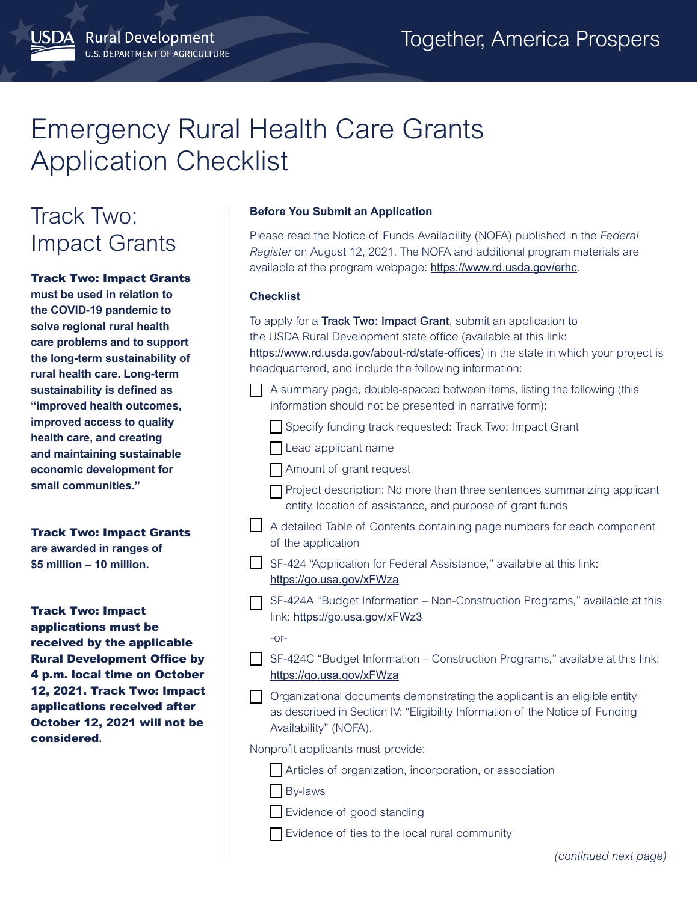# Emergency Rural Health Care Grants Application Checklist

## Track Two: Impact Grants

**SDA** Rural Development

U.S. DEPARTMENT OF AGRICULTURE

Track Two: Impact Grants **must be used in relation to the COVID-19 pandemic to solve regional rural health care problems and to support the long-term sustainability of rural health care. Long-term sustainability is defined as "improved health outcomes, improved access to quality health care, and creating and maintaining sustainable economic development for small communities."**

Track Two: Impact Grants **are awarded in ranges of \$5 million – 10 million.**

Track Two: Impact applications must be received by the applicable Rural Development Office by 4 p.m. local time on October 12, 2021. Track Two: Impact applications received after October 12, 2021 will not be considered**.**

#### **Before You Submit an Application**

Please read the Notice of Funds Availability (NOFA) published in the *Federal Register* on August 12, 2021. The NOFA and additional program materials are available at the program webpage: <https://www.rd.usda.gov/erhc>.

#### **Checklist**

To apply for a **Track Two: Impact Grant**, submit an application to the USDA Rural Development state office (available at this link: <https://www.rd.usda.gov/about-rd/state-offices>) in the state in which your project is headquartered, and include the following information: A summary page, double-spaced between items, listing the following (this information should not be presented in narrative form): Specify funding track requested: Track Two: Impact Grant Lead applicant name Amount of grant request  $\Box$  Project description: No more than three sentences summarizing applicant entity, location of assistance, and purpose of grant funds A detailed Table of Contents containing page numbers for each component of the application SF-424 "Application for Federal Assistance," available at this link: <https://go.usa.gov/xFWza> SF-424A "Budget Information – Non-Construction Programs," available at this link: <https://go.usa.gov/xFWz3> -or-SF-424C "Budget Information – Construction Programs," available at this link: <https://go.usa.gov/xFWza>

 $\Box$  Organizational documents demonstrating the applicant is an eligible entity as described in Section IV: "Eligibility Information of the Notice of Funding Availability" (NOFA).

Nonprofit applicants must provide:

Articles of organization, incorporation, or association

By-laws

Evidence of good standing

Evidence of ties to the local rural community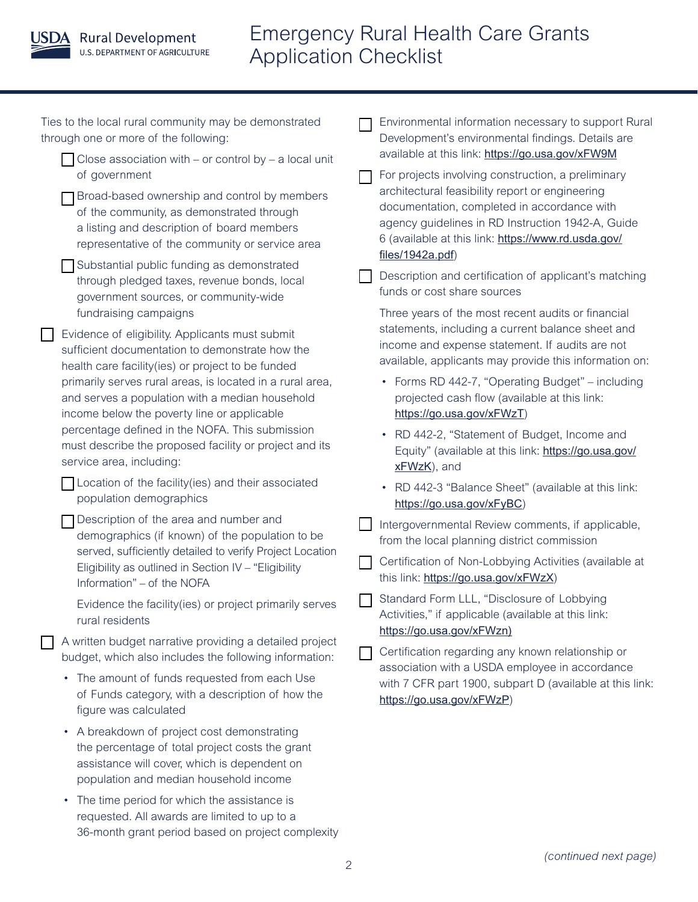

### Emergency Rural Health Care Grants Application Checklist

| Ties to the local rural community may be demonstrated<br>through one or more of the following:                                                                                                                                                                                                                                                                                                                                                                                                                                                                                                                                                                                                                   | Environmental information necessary to support Rural<br>Development's environmental findings. Details are<br>available at this link: https://go.usa.gov/xFW9M<br>For projects involving construction, a preliminary<br>architectural feasibility report or engineering<br>documentation, completed in accordance with<br>agency guidelines in RD Instruction 1942-A, Guide<br>6 (available at this link: https://www.rd.usda.gov/ |
|------------------------------------------------------------------------------------------------------------------------------------------------------------------------------------------------------------------------------------------------------------------------------------------------------------------------------------------------------------------------------------------------------------------------------------------------------------------------------------------------------------------------------------------------------------------------------------------------------------------------------------------------------------------------------------------------------------------|-----------------------------------------------------------------------------------------------------------------------------------------------------------------------------------------------------------------------------------------------------------------------------------------------------------------------------------------------------------------------------------------------------------------------------------|
| Close association with – or control by – a local unit<br>of government<br>Broad-based ownership and control by members<br>of the community, as demonstrated through<br>a listing and description of board members<br>representative of the community or service area                                                                                                                                                                                                                                                                                                                                                                                                                                             |                                                                                                                                                                                                                                                                                                                                                                                                                                   |
| Substantial public funding as demonstrated<br>through pledged taxes, revenue bonds, local<br>government sources, or community-wide<br>fundraising campaigns<br>Evidence of eligibility. Applicants must submit<br>sufficient documentation to demonstrate how the<br>health care facility(ies) or project to be funded<br>primarily serves rural areas, is located in a rural area,<br>and serves a population with a median household<br>income below the poverty line or applicable<br>percentage defined in the NOFA. This submission<br>must describe the proposed facility or project and its<br>service area, including:<br>Location of the facility (ies) and their associated<br>population demographics | files/1942a.pdf)<br>Description and certification of applicant's matching<br>funds or cost share sources<br>Three years of the most recent audits or financial<br>statements, including a current balance sheet and<br>income and expense statement. If audits are not                                                                                                                                                            |
|                                                                                                                                                                                                                                                                                                                                                                                                                                                                                                                                                                                                                                                                                                                  | available, applicants may provide this information on:<br>• Forms RD 442-7, "Operating Budget" – including<br>projected cash flow (available at this link:<br>https://go.usa.gov/xFWzT)<br>RD 442-2, "Statement of Budget, Income and<br>Equity" (available at this link: https://go.usa.gov/<br>xFWzK), and<br>RD 442-3 "Balance Sheet" (available at this link:<br>$\bullet$                                                    |
| Description of the area and number and<br>demographics (if known) of the population to be<br>served, sufficiently detailed to verify Project Location<br>Eligibility as outlined in Section IV - "Eligibility<br>Information" - of the NOFA                                                                                                                                                                                                                                                                                                                                                                                                                                                                      | https://go.usa.gov/xFyBC)<br>Intergovernmental Review comments, if applicable,<br>from the local planning district commission<br>Certification of Non-Lobbying Activities (available at<br>this link: https://go.usa.gov/xFWzX)<br>Standard Form LLL, "Disclosure of Lobbying                                                                                                                                                     |
| Evidence the facility(ies) or project primarily serves<br>rural residents<br>A written budget narrative providing a detailed project<br>budget, which also includes the following information:<br>• The amount of funds requested from each Use<br>of Funds category, with a description of how the<br>figure was calculated                                                                                                                                                                                                                                                                                                                                                                                     | Activities," if applicable (available at this link:<br>https://go.usa.gov/xFWzn)<br>Certification regarding any known relationship or<br>association with a USDA employee in accordance<br>with 7 CFR part 1900, subpart D (available at this link:<br>https://go.usa.gov/xFWzP)                                                                                                                                                  |
| • A breakdown of project cost demonstrating<br>the percentage of total project costs the grant<br>assistance will cover, which is dependent on<br>population and median household income<br>The time period for which the assistance is<br>$\bullet$<br>requested. All awards are limited to up to a<br>36-month grant period based on project complexity                                                                                                                                                                                                                                                                                                                                                        |                                                                                                                                                                                                                                                                                                                                                                                                                                   |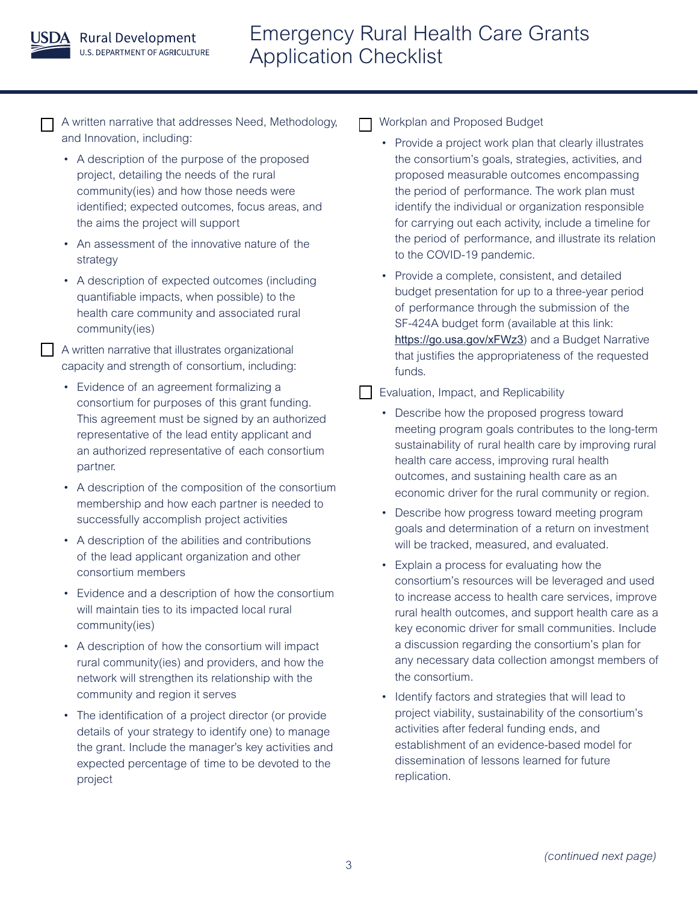

A written narrative that addresses Need, Methodology, and Innovation, including:

- A description of the purpose of the proposed project, detailing the needs of the rural community(ies) and how those needs were identified; expected outcomes, focus areas, and the aims the project will support
- An assessment of the innovative nature of the strategy
- A description of expected outcomes (including quantifiable impacts, when possible) to the health care community and associated rural community(ies)

A written narrative that illustrates organizational capacity and strength of consortium, including:

- Evidence of an agreement formalizing a consortium for purposes of this grant funding. This agreement must be signed by an authorized representative of the lead entity applicant and an authorized representative of each consortium partner.
- A description of the composition of the consortium membership and how each partner is needed to successfully accomplish project activities
- A description of the abilities and contributions of the lead applicant organization and other consortium members
- Evidence and a description of how the consortium will maintain ties to its impacted local rural community(ies)
- A description of how the consortium will impact rural community(ies) and providers, and how the network will strengthen its relationship with the community and region it serves
- The identification of a project director (or provide details of your strategy to identify one) to manage the grant. Include the manager's key activities and expected percentage of time to be devoted to the project

Workplan and Proposed Budget

- Provide a project work plan that clearly illustrates the consortium's goals, strategies, activities, and proposed measurable outcomes encompassing the period of performance. The work plan must identify the individual or organization responsible for carrying out each activity, include a timeline for the period of performance, and illustrate its relation to the COVID-19 pandemic.
- Provide a complete, consistent, and detailed budget presentation for up to a three-year period of performance through the submission of the SF-424A budget form (available at this link: <https://go.usa.gov/xFWz3>) and a Budget Narrative that justifies the appropriateness of the requested funds.
- **Evaluation, Impact, and Replicability** 
	- Describe how the proposed progress toward meeting program goals contributes to the long-term sustainability of rural health care by improving rural health care access, improving rural health outcomes, and sustaining health care as an economic driver for the rural community or region.
	- Describe how progress toward meeting program goals and determination of a return on investment will be tracked, measured, and evaluated.
	- Explain a process for evaluating how the consortium's resources will be leveraged and used to increase access to health care services, improve rural health outcomes, and support health care as a key economic driver for small communities. Include a discussion regarding the consortium's plan for any necessary data collection amongst members of the consortium.
	- Identify factors and strategies that will lead to project viability, sustainability of the consortium's activities after federal funding ends, and establishment of an evidence-based model for dissemination of lessons learned for future replication.